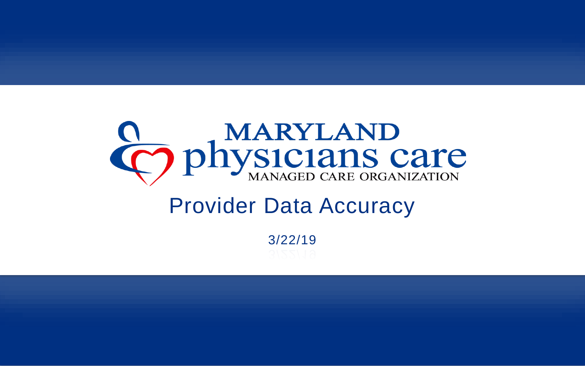# O physicians care

## Provider Data Accuracy

3/22/19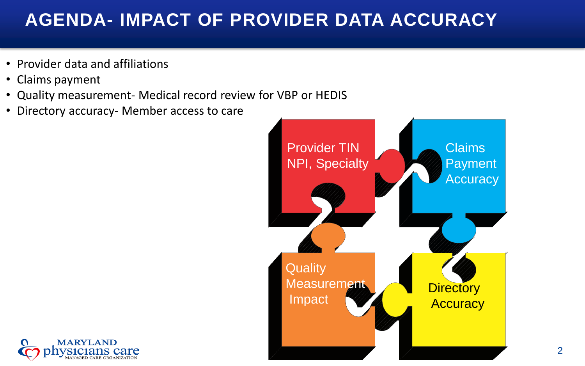### **AGENDA- IMPACT OF PROVIDER DATA ACCURACY**

- Provider data and affiliations
- Claims payment
- Quality measurement- Medical record review for VBP or HEDIS
- Directory accuracy- Member access to care



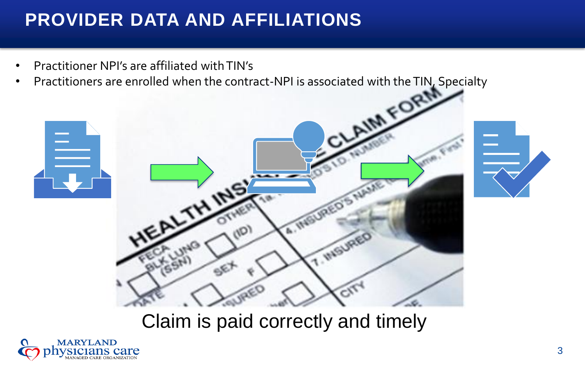## **PROVIDER DATA AND AFFILIATIONS**

- Practitioner NPI's are affiliated with TIN's
- 





Claim is paid correctly and timely

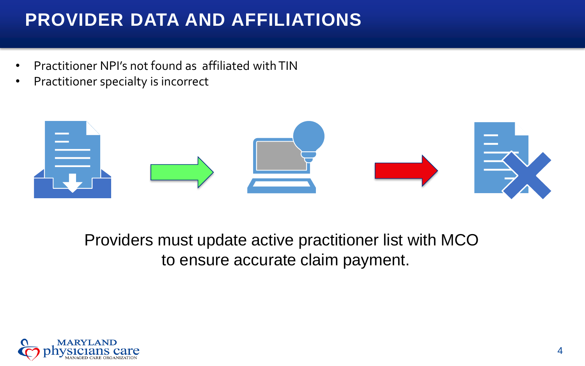## **PROVIDER DATA AND AFFILIATIONS**

- Practitioner NPI's not found as affiliated with TIN
- Practitioner specialty is incorrect



Providers must update active practitioner list with MCO to ensure accurate claim payment.

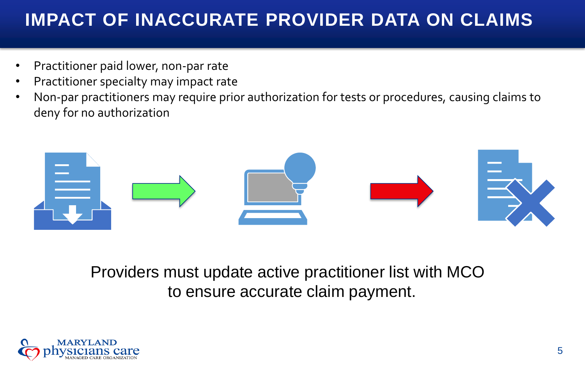#### **IMPACT OF INACCURATE PROVIDER DATA ON CLAIMS**

- Practitioner paid lower, non-par rate
- Practitioner specialty may impact rate
- Non-par practitioners may require prior authorization for tests or procedures, causing claims to deny for no authorization



Providers must update active practitioner list with MCO to ensure accurate claim payment.

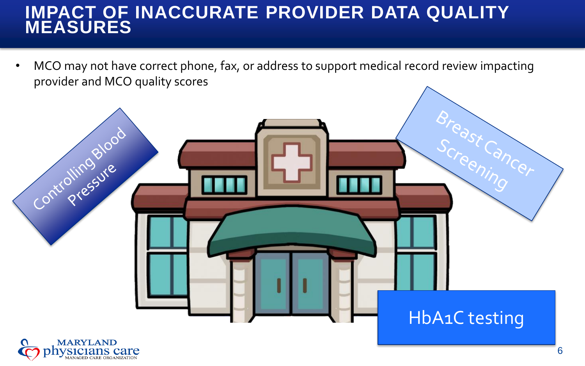#### **IMPACT OF INACCURATE PROVIDER DATA QUALITY MEASURES**

• MCO may not have correct phone, fax, or address to support medical record review impacting provider and MCO quality scores

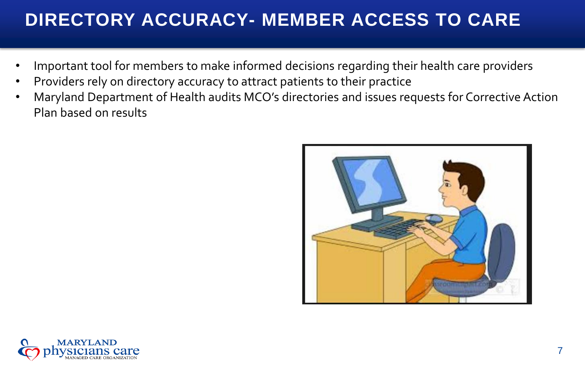## **DIRECTORY ACCURACY- MEMBER ACCESS TO CARE**

- Important tool for members to make informed decisions regarding their health care providers
- Providers rely on directory accuracy to attract patients to their practice
- Maryland Department of Health audits MCO's directories and issues requests for Corrective Action Plan based on results



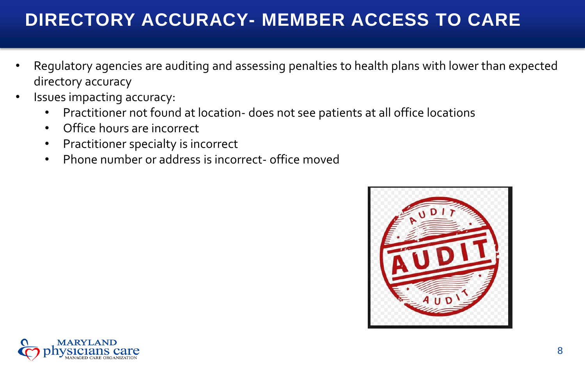## **DIRECTORY ACCURACY- MEMBER ACCESS TO CARE**

- Regulatory agencies are auditing and assessing penalties to health plans with lower than expected directory accuracy
- Issues impacting accuracy:
	- Practitioner not found at location- does not see patients at all office locations
	- Office hours are incorrect
	- Practitioner specialty is incorrect
	- Phone number or address is incorrect- office moved



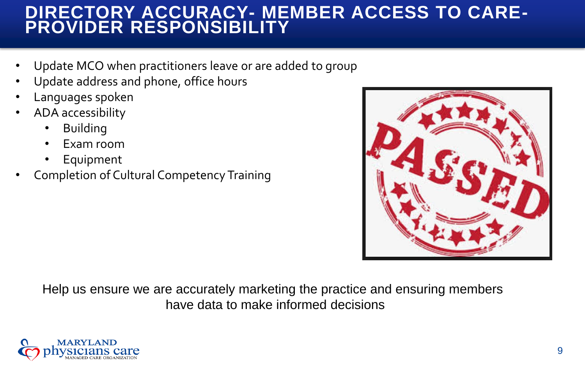#### **DIRECTORY ACCURACY- MEMBER ACCESS TO CARE-PROVIDER RESPONSIBILITY**

- Update MCO when practitioners leave or are added to group
- Update address and phone, office hours
- Languages spoken
- ADA accessibility
	- **Building**
	- Exam room
	- **Equipment**
- Completion of Cultural Competency Training



Help us ensure we are accurately marketing the practice and ensuring members have data to make informed decisions

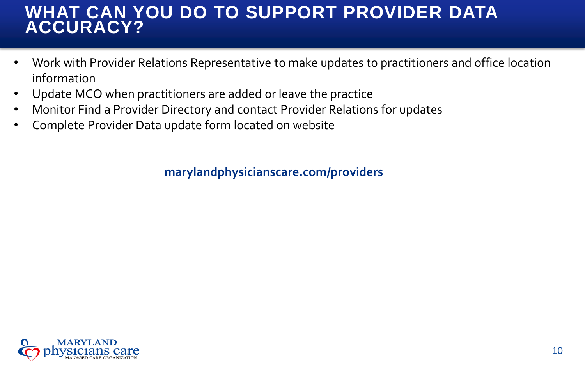#### **WHAT CAN YOU DO TO SUPPORT PROVIDER DATA ACCURACY?**

- Work with Provider Relations Representative to make updates to practitioners and office location information
- Update MCO when practitioners are added or leave the practice
- Monitor Find a Provider Directory and contact Provider Relations for updates
- Complete Provider Data update form located on website

**marylandphysicianscare.com/providers**